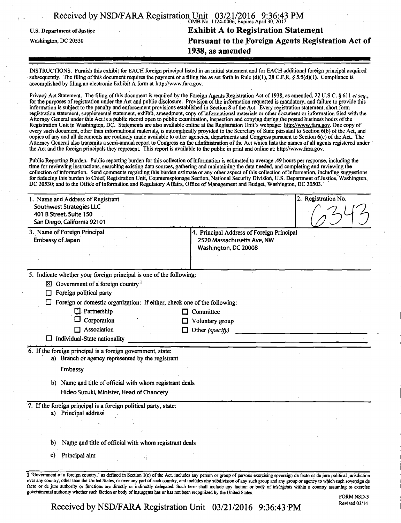| Received by NSD/FARA Registration Unit 03/21/2016 9:36:43 PM |                                                    |
|--------------------------------------------------------------|----------------------------------------------------|
| U.S. Department of Justice                                   | <b>Exhibit A to Registration Statement</b>         |
| Washington, DC 20530                                         | Pursuant to the Foreign Agents Registration Act of |
|                                                              | 1938, as amended                                   |
|                                                              |                                                    |

INSTRUCTIONS. Furnish this exhibit for EACH foreign principal listed in an initial statement and for EACH additional foreign principal acquired subsequently. The filing of this document requires the payment of a filing fee as set forth in Rule (d)(1), 28 C.F.R. § 5.5(d)(1). Compliance is accomplished by filing an electronic Exhibit A form at http://www.fara.gov.

Privacy Act Statement. The filing of this document is required by the Foreign Agents Registration Act of 1938, as amended, 22 U.S.C. § 611 et seq., for the purposes of registration under the Act and public disclosure. Provision of the information requested is mandatory, and failure to provide this information is subject to the penalty and enforcement provisions established in Section 8 of the Act. Every registration statement, short form registration statement, supplemental statement, exhibit, amendment, copy of informational materials or other document or information filed with the Attorney General under this Act is a public record open to public examination, inspection and copying during the posted business hours of the Registration Unit in Washington, DC. Statements are also available online at the Registration Unit's webpage: http://www.fara.gov. One copy of every such document, other than informational materials, is automatically provided to the Secretary of State pursuant to Section  $\vec{b}$  of the Act, and copies of any and all documents are routinely made available to other agencies, departments and Congress pursuant to Section 6(c) of the Act. The Attorney General also transmits a semi-annual report to Congress on the administration of the Act which lists the names of all agents registered under the Act and the foreign principals they represent. This report is available to the public in print and online at: http://www.fara.gov.

Public Reporting Burden. Public reporting burden for this collection of information is estimated to average .49 hours per response, including the time for reviewing instructions, searching existing data sources, gathering and maintaining the data needed, and completing and reviewing the collection of information. Send comments regarding this burden estimate or any other aspect of this collection of information, including suggestions for reducing this burden to Chief, Registration Unit, Counterespionage Section, National Security Division, U.S. Department of Justice, Washington, DC 20530; and to the Office of Information and Regulatory Affairs, Office of Management and Budget, Washington, DC 20503.

| 4. Principal Address of Foreign Principal<br>Embassy of Japan<br>2520 Massachusetts Ave, NW<br>Washington, DC 20008<br>$\boxtimes$ Government of a foreign country <sup>1</sup><br>Foreign political party<br>□<br>Foreign or domestic organization: If either, check one of the following:<br>$\Box$ Partnership<br>$\Box$ Committee<br>Corporation<br>Voluntary group<br>Association<br>Other (specify)<br>Individual-State nationality<br>ப<br>a) Branch or agency represented by the registrant<br>Embassy<br>b) Näme and title of official with whom registrant deals<br>Hideo Suzuki, Minister, Head of Chancery<br>a) Principal address | 1. Name and Address of Registrant<br><b>Southwest Strategies LLC</b><br>401 B Street, Suite 150<br>San Diego, California 92101 |  | 2. Registration No. |  |
|------------------------------------------------------------------------------------------------------------------------------------------------------------------------------------------------------------------------------------------------------------------------------------------------------------------------------------------------------------------------------------------------------------------------------------------------------------------------------------------------------------------------------------------------------------------------------------------------------------------------------------------------|--------------------------------------------------------------------------------------------------------------------------------|--|---------------------|--|
| 5. Indicate whether your foreign principal is one of the following:<br>6. If the foreign principal is a foreign government, state:<br>7. If the foreign principal is a foreign political party, state:                                                                                                                                                                                                                                                                                                                                                                                                                                         | 3. Name of Foreign Principal                                                                                                   |  |                     |  |
|                                                                                                                                                                                                                                                                                                                                                                                                                                                                                                                                                                                                                                                |                                                                                                                                |  |                     |  |
|                                                                                                                                                                                                                                                                                                                                                                                                                                                                                                                                                                                                                                                |                                                                                                                                |  |                     |  |
|                                                                                                                                                                                                                                                                                                                                                                                                                                                                                                                                                                                                                                                |                                                                                                                                |  |                     |  |
|                                                                                                                                                                                                                                                                                                                                                                                                                                                                                                                                                                                                                                                |                                                                                                                                |  |                     |  |
|                                                                                                                                                                                                                                                                                                                                                                                                                                                                                                                                                                                                                                                |                                                                                                                                |  |                     |  |
|                                                                                                                                                                                                                                                                                                                                                                                                                                                                                                                                                                                                                                                |                                                                                                                                |  |                     |  |
|                                                                                                                                                                                                                                                                                                                                                                                                                                                                                                                                                                                                                                                |                                                                                                                                |  |                     |  |
|                                                                                                                                                                                                                                                                                                                                                                                                                                                                                                                                                                                                                                                |                                                                                                                                |  |                     |  |
|                                                                                                                                                                                                                                                                                                                                                                                                                                                                                                                                                                                                                                                |                                                                                                                                |  |                     |  |
|                                                                                                                                                                                                                                                                                                                                                                                                                                                                                                                                                                                                                                                |                                                                                                                                |  |                     |  |
|                                                                                                                                                                                                                                                                                                                                                                                                                                                                                                                                                                                                                                                |                                                                                                                                |  |                     |  |
|                                                                                                                                                                                                                                                                                                                                                                                                                                                                                                                                                                                                                                                |                                                                                                                                |  |                     |  |
|                                                                                                                                                                                                                                                                                                                                                                                                                                                                                                                                                                                                                                                |                                                                                                                                |  |                     |  |
|                                                                                                                                                                                                                                                                                                                                                                                                                                                                                                                                                                                                                                                |                                                                                                                                |  |                     |  |
| Name and title of official with whom registrant deals<br>b)                                                                                                                                                                                                                                                                                                                                                                                                                                                                                                                                                                                    |                                                                                                                                |  |                     |  |
| Principal aim<br>C)                                                                                                                                                                                                                                                                                                                                                                                                                                                                                                                                                                                                                            |                                                                                                                                |  |                     |  |
|                                                                                                                                                                                                                                                                                                                                                                                                                                                                                                                                                                                                                                                |                                                                                                                                |  |                     |  |

FORM NSD-3

Received by NSD/FARA Registration Unit 03/21/2016 9:36:43 PM

governmental authority whether such faction or body of insurgents has or has not been recognized by the United States.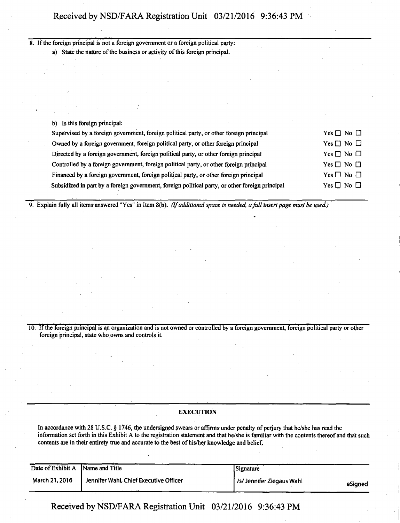8. If the foreign principal is not a foreign government or a foreign political party: a) State the nature of the business or activity of this foreign principal.

b) Is this foreign principal:

| Supervised by a foreign government, foreign political party, or other foreign principal         | Yes $\Box$ No $\Box$ |
|-------------------------------------------------------------------------------------------------|----------------------|
| Owned by a foreign government, foreign political party, or other foreign principal              | Yes $\Box$ No $\Box$ |
| Directed by a foreign government, foreign political party, or other foreign principal           | Yes $\Box$ No $\Box$ |
| Controlled by a foreign government, foreign political party, or other foreign principal         | Yes $\Box$ No $\Box$ |
| Financed by a foreign government, foreign political party, or other foreign principal           | Yes $\Box$ No $\Box$ |
| Subsidized in part by a foreign government, foreign political party, or other foreign principal | Yes $\Box$ No $\Box$ |
|                                                                                                 |                      |

*9. Explain fully all items answered "Yes" in Item 8(b). (If additional space is needed, a full insert page must be used.)* 

10. If the foreign principal is an organization and is not owned or controlled by a foreign government, foreign political party or other foreign principal, state who,owns and controls it.

### **EXECUTION**

In accordance with 28 U.S.C. § 1746, the undersigned swears or affirms under penalty of perjury that he/she has read the information set forth in this Exhibit A to the registration statement and that he/she is familiar with the contents thereof and that such contents are in their entirety true and accurate to the best of his/her knowledge and belief.

| Date of Exhibit A Name and Title |                                        | Signature                |         |
|----------------------------------|----------------------------------------|--------------------------|---------|
| March 21, 2016                   | Jennifer Wahl, Chief Executive Officer | /s/Jennifer Ziegaus Wahl | eSianed |

**Received by NSD/FARA Registration Unit 03/21/2016 9:36:43 PM**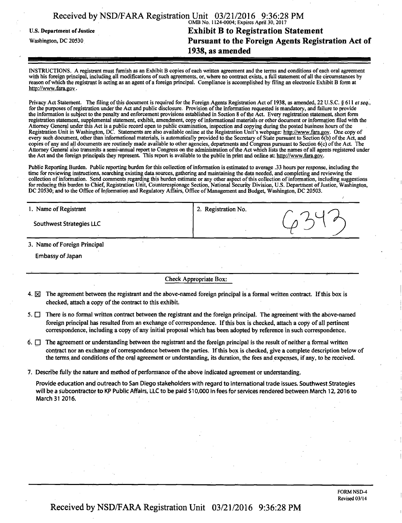|                                   | Received by NSD/FARA Registration Unit 03/21/2016 9:36:28 PM |
|-----------------------------------|--------------------------------------------------------------|
|                                   | OMB No. 1124-0004; Expires April 30, 2017                    |
| <b>U.S. Department of Justice</b> | <b>Exhibit B to Registration Statement</b>                   |
| Washington, DC 20530              | Pursuant to the Foreign Agents Registration Act of           |
|                                   | 1938, as amended                                             |
|                                   |                                                              |

INSTRUCTIONS. A registrant must furnish as an Exhibit B copies of each written agreement and the terms and conditions of each oral agreement with his foreign principal, including all modifications of such agreements, or, where no contract exists, a full statement of all the circumstances by reason of which the registrant is acting as an agent of a foreign principal. Compliance is accomplished by filing an electronic Exhibit B form at http://www.fara.gov.

Privacy Act Statement. The filing of this document is required for the Foreign Agents Registration Act of 1938, as amended, 22 U.S.C. § 611 et seq., for the purposes of registration under the Act and public disclosure. Provision of the information requested is mandatory, and failure to provide the information is subject to the penalty and enforcement provisions established in Section 8 of the Act. Every registration statement, short form registration statement, supplemental statement, exhibit, amendment, copy of infonnational materials or other document or information filed with the Attorney General under this Act is a public record open to public examination, inspection and copying during the posted business hours of the Registration Unit in Washington, DC. Statements are also available online at the Registration Unit's webpage: http://www.fara.gov. One copy of every such document, other than informational materials, is automatically provided to the Secretary of State pursuant to Section 6(b) of the Act, and copies of any and all documents are routinely made available to other agencies, departments and Congress pursuant to Section 6(c) of the Act. The Attorney General also transmits a semi-annual report to Congress on the administration of the Act which lists the names of all agents registered Under the Act and the foreign principals they represent. This report is available to the public in print and online at: http://www.fara.gov.

Public Reporting Burden. Public reporting burden for this collection of information is estimated to average .33 hours per response, including the time for reviewing instructions, searching existing data sources, gathering and maintaining the data needed, and completing and reviewing the collection of information. Send comments regarding this burden estimate or any other aspect of this collection of information, including suggestions for reducing this burden to Chief, Registration Unit, Counterespionage Section, National Security Division, U.S. Department of Justice, Washington, DC 20530; and to the Office of Information and Regulatory Affairs, Office of Management and Budget, Washington, DC 20503.

| 1. Name of Registrant        | 2. Registration No. |  |
|------------------------------|---------------------|--|
| Southwest Strategies LLC     |                     |  |
| 3. Name of Foreign Principal |                     |  |

Embassy of Japan

#### Check Appropriate Box:

- 4.  $\boxtimes$  The agreement between the registrant and the above-named foreign principal is a formal written contract. If this box is checked, attach a copy of the contract to this exhibit.
- $5.$   $\Box$  There is no formal written contract between the registrant and the foreign principal. The agreement with the above-named foreign principal has resulted from an exchange of correspondence. If this box is checked, attach a copy of all pertinent correspondence, including a copy of any initial proposal which has been adopted by reference in such correspondence.
- $6.$   $\Box$  The agreement or understanding between the registrant and the foreign principal is the result of neither a formal written contract nor an exchange of correspondence between the parties. If this box is checked, give a complete description below of the terms, and conditions of the oral agreement or understanding, its duration, the fees and expenses, if any, to be received.
- 7. Describe fully the nature and method of performance of the above indicated agreement or understanding.

Provide education and outreach to San Diego stakeholders with regard to international trade issues. Southwest Strategies will be a subcontractor to KP Public Affairs, LLC to be paid \$10,000 in fees for services rendered between March 12,2016 to March 31 2016.

Received by NSD/FARA Registration Unit 03/21/2016 9:36:28 PM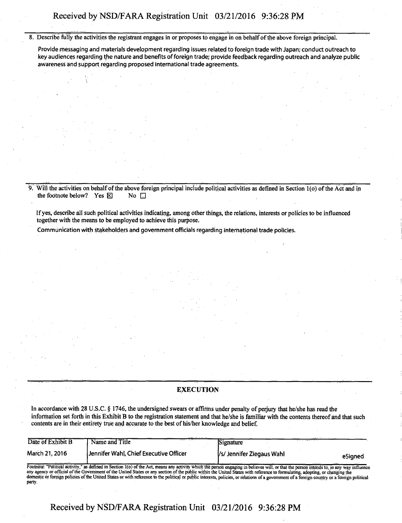8. Describe fully the activities the registrant engages in or proposes to engage in on behalf of the above foreign principal.

Provide messaging and materials development regarding issues related to foreign trade with Japan; conduct outreach to key audiences regarding the nature and benefits of foreign trade; provide feedback regarding outreach and analyze public awareness and support regarding proposed international trade agreements.

9. Will the activities on behalf of the above foreign principal include political activities as defined in Section 1(o) of the Act and in the footnote below? Yes  $\boxtimes$  No  $\Box$ the footnote below? Yes  $\boxtimes$ 

**If yes, describe all such political activities indicating, among other things, the relations, interests of policies to be influenced together with the means to be employed to achieve this purpose.** 

Communication with stakeholders and government officials regarding international trade policies.

### **EXECUTION**

**In accordance with 28 U-S.C. § 1746, the undersigned swears or affirms under penalty of perjury that he/she has read the information set forth in this Exhibit B to the registration statement and that he/she is familiar with the contents thereof and that such contents are in their entirety true and accurate to the best of his/her knowledge and belief.** 

| Date of Exhibit B | Name and Title                                                                                                                                                                                                                                                                                                                                                                                                                                                                                                                                                            | Signature                 |         |
|-------------------|---------------------------------------------------------------------------------------------------------------------------------------------------------------------------------------------------------------------------------------------------------------------------------------------------------------------------------------------------------------------------------------------------------------------------------------------------------------------------------------------------------------------------------------------------------------------------|---------------------------|---------|
| March 21, 2016    | Jennifer Wahl, Chief Executive Officer                                                                                                                                                                                                                                                                                                                                                                                                                                                                                                                                    | /s/ Jennifer Ziegaus Wahl | eSianed |
| party.            | Footnote: "Political activity," as defined in Section 1(o) of the Act, means any activity which the person engaging in believes will, or that the person intends to, in any way influence<br>any agency or official of the Government of the United States or any section of the public within the United States with reference to formulating, adopting, or changing the<br>domestic or foreign policies of the United States or with reference to the political or public interests, policies, or relations of a government of a foreign country or a föreign political |                           |         |

**Received by NSD/FARA Registration Unit 03/21/2016 9:36:28 PM**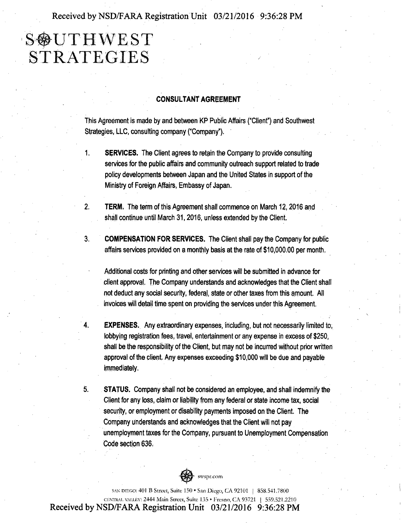**Received by NSD/FARA Registration Unit 03/21/2016 9:36:28 PM** 

# **S**OUTHWEST **STRATEGIES**

### **CONSULTANT AGREEMENT**

This Agreement is made by and between KP Public Affairs ("Client") and Southwest Strategies, LLC, consulting company ("Company").

- 1. SERVICES. The Client agrees to retain the Company to provide consulting services for the public affairs and community outreach support related to trade policy developments between Japan and the United States in support of the Ministry of Foreign Affairs, Embassy of Japan.
- 2. TERM. The term of this Agreement shall commence on March 12, 2016 and shall continue until March 31, 2016, unless extended by the Client.
- 3. COMPENSATION FOR SERVICES. The Client shall pay the Company for public affairs services provided on a monthly basis at the rate of \$10,000.00 per month.

Additional costs for printing and other services will be submitted in advance for client approval. The Company understands and acknowledges that the Client shall not deduct any social security, federal, state or other taxes from this amount. All invoices will detail time spent on providing the services under this Agreement.

- 4. EXPENSES. Any extraordinary expenses, including, but not necessarily limited to, lobbying registration fees, travel, entertainment or any expense in excess of \$250, shall be the responsibility of the Client, but may not be incurred without prior written approval of the client. Any expenses exceeding \$10,000 will be due and payable immediately.
- 5. STATUS. Company shall not be considered an employee, and shall indemnify the Client for any loss, claim or liability from any federal or state income tax, social security, or employment or disability payments imposed on the Client. The Company understands and acknowledges that the Client will not pay unemployment taxes for the Company, pursuant to Unemployment Compensation Code section 636.



SAN DIEGO; 401 B Street, Suite 150 • San Diego, CA 92101 | 858.541.7800 CBOTRAI. VAIXEV: 2444 Main Street, Suite 135 • Fresno, CA 93721 | 559.521.2210 **Received by NSD/FARA Registration Unit 03/21/2016 9:36:28 PM**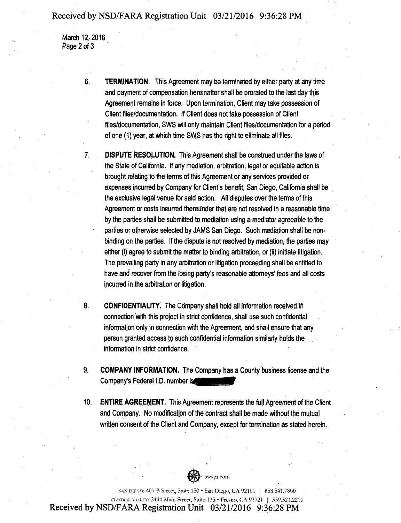### **Received by NSD/FARA Registration Unit 03/21/2016 9:36:28 PM**

March 12, 2016 Page 2 of 3

7.

- 6. TERMINATION. This Agreement may be terminated by either party at any time and payment of compensation hereinafter shall be prorated to the last day this Agreement remains in force. Upon termination, Client may take possession of Client files/documentation. If Client does not take possession of Client files/documentation, SWS will only maintain Client files/documentation for a period of one (1) year, at Which time SWS has the right to eliminate all files.
	- DISPUTE RESOLUTION. This Agreement shall be construed under the laws of the State of California. If any mediation, arbitration, legal or equitable action is brought relating to the terms of this Agreement or any services provided or expenses incurred by Company for Client's benefit, San Diego, California shall be the exclusive legal venue for said action. All disputes over the terms of this Agreement or costs incurred thereunder that are not resolved in a reasonable time by the parties shall be submitted to mediation using a mediator agreeable to the parties or otherwise selected by JAMS San Diego. Such mediation shall be nonbinding on the parties. If the dispute is not resolved by mediation, the parties may either (i) agree to submit the matter to binding arbitration, or (ii) initiate litigation. The prevailing party in any arbitration or litigation proceeding shall be entitled to have and recover from the losing party's reasonable attorneys' fees and all costs incurred in the arbitration or litigation.
- 8. CONFIDENTIALITY. The Company shall hold all information received in connection with this project in strict confidence, shall use such confidential information only in connection with the Agreement, and shall ensure that any person granted access to such confidential information similarly holds the information in strict confidence.
- **9. COMPANY INFORMATION. The Company has a County business license and the Company's Federal I.D. number is**
- **10.**  ENTIRE AGREEMENT. This Agreement represents the full Agreement of the Client and Company. No modification of the contract shall be made without the mutual written consent of the Client and Company, except for termination as stated herein.



SAN DIEGO: 401 B Street, Suite 150 • San Diego, CA 92101 | 858.541.7800 OiNrreAL VMiiiv: 2444 Main Street. Suite 135 • Fresno, CA 93721 | 559.521.2210 **Received by NSD/FARA Registration Unit 03/21/2016 9:36:28 PM**